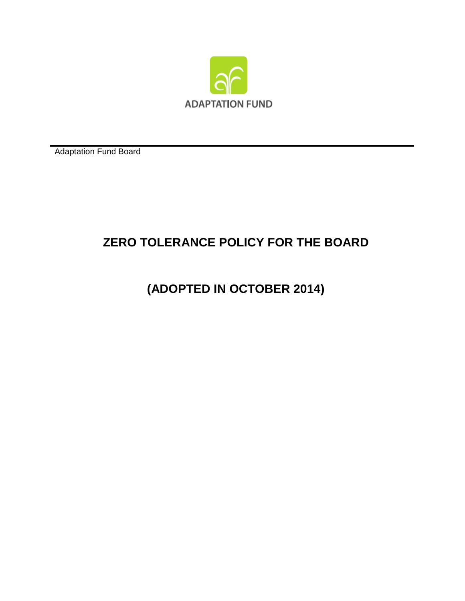

Adaptation Fund Board

## **ZERO TOLERANCE POLICY FOR THE BOARD**

**(ADOPTED IN OCTOBER 2014)**